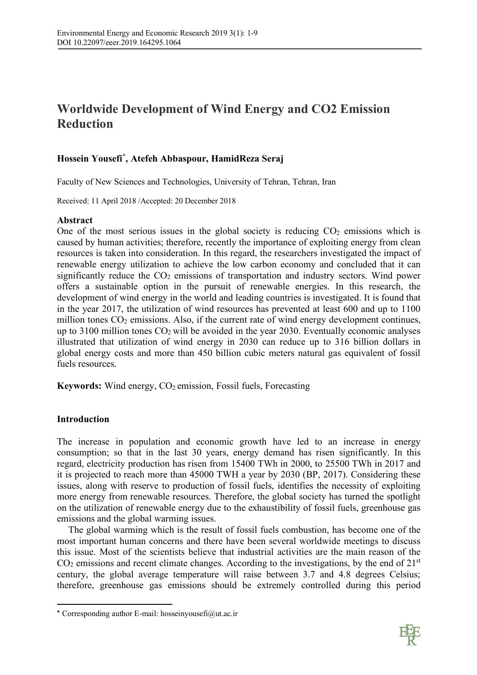# **Worldwide Development of Wind Energy and CO2 Emission Reduction**

# **Hossein Yousefi\* , Atefeh Abbaspour, HamidReza Seraj**

Faculty of New Sciences and Technologies, University of Tehran, Tehran, Iran

Received: 11 April 2018 /Accepted: 20 December 2018

## **Abstract**

One of the most serious issues in the global society is reducing  $CO<sub>2</sub>$  emissions which is caused by human activities; therefore, recently the importance of exploiting energy from clean resources is taken into consideration. In this regard, the researchers investigated the impact of renewable energy utilization to achieve the low carbon economy and concluded that it can significantly reduce the CO<sub>2</sub> emissions of transportation and industry sectors. Wind power offers a sustainable option in the pursuit of renewable energies. In this research, the development of wind energy in the world and leading countries is investigated. It is found that in the year 2017, the utilization of wind resources has prevented at least 600 and up to 1100 million tones  $CO<sub>2</sub>$  emissions. Also, if the current rate of wind energy development continues, up to 3100 million tones  $CO<sub>2</sub>$  will be avoided in the year 2030. Eventually economic analyses illustrated that utilization of wind energy in 2030 can reduce up to 316 billion dollars in global energy costs and more than 450 billion cubic meters natural gas equivalent of fossil fuels resources.

**Keywords:** Wind energy, CO<sub>2</sub> emission, Fossil fuels, Forecasting

## **Introduction**

 $\overline{a}$ 

The increase in population and economic growth have led to an increase in energy consumption; so that in the last 30 years, energy demand has risen significantly. In this regard, electricity production has risen from 15400 TWh in 2000, to 25500 TWh in 2017 and it is projected to reach more than 45000 TWH a year by 2030 (BP, 2017). Considering these issues, along with reserve to production of fossil fuels, identifies the necessity of exploiting more energy from renewable resources. Therefore, the global society has turned the spotlight on the utilization of renewable energy due to the exhaustibility of fossil fuels, greenhouse gas emissions and the global warming issues.

The global warming which is the result of fossil fuels combustion, has become one of the most important human concerns and there have been several worldwide meetings to discuss this issue. Most of the scientists believe that industrial activities are the main reason of the  $CO<sub>2</sub>$  emissions and recent climate changes. According to the investigations, by the end of  $21<sup>st</sup>$ century, the global average temperature will raise between 3.7 and 4.8 degrees Celsius; therefore, greenhouse gas emissions should be extremely controlled during this period



<sup>\*</sup> Corresponding author E-mail: hosseinyousefi@ut.ac.ir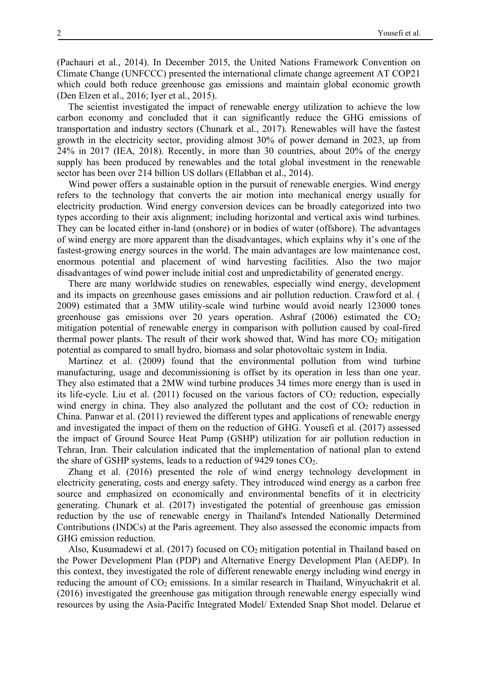(Pachauri et al., 2014). In December 2015, the United Nations Framework Convention on Climate Change (UNFCCC) presented the international climate change agreement AT COP21 which could both reduce greenhouse gas emissions and maintain global economic growth (Den Elzen et al., 2016; Iyer et al., 2015).

The scientist investigated the impact of renewable energy utilization to achieve the low carbon economy and concluded that it can significantly reduce the GHG emissions of transportation and industry sectors (Chunark et al., 2017). Renewables will have the fastest growth in the electricity sector, providing almost 30% of power demand in 2023, up from 24% in 2017 (IEA, 2018). Recently, in more than 30 countries, about 20% of the energy supply has been produced by renewables and the total global investment in the renewable sector has been over 214 billion US dollars (Ellabban et al., 2014).

Wind power offers a sustainable option in the pursuit of renewable energies. Wind energy refers to the technology that converts the air motion into mechanical energy usually for electricity production. Wind energy conversion devices can be broadly categorized into two types according to their axis alignment; including horizontal and vertical axis wind turbines. They can be located either in-land (onshore) or in bodies of water (offshore). The advantages of wind energy are more apparent than the disadvantages, which explains why it's one of the fastest-growing energy sources in the world. The main advantages are low maintenance cost, enormous potential and placement of wind harvesting facilities. Also the two major disadvantages of wind power include initial cost and unpredictability of generated energy.

There are many worldwide studies on renewables, especially wind energy, development and its impacts on greenhouse gases emissions and air pollution reduction. Crawford et al. ( 2009) estimated that a 3MW utility-scale wind turbine would avoid nearly 123000 tones greenhouse gas emissions over 20 years operation. Ashraf  $(2006)$  estimated the  $CO<sub>2</sub>$ mitigation potential of renewable energy in comparison with pollution caused by coal-fired thermal power plants. The result of their work showed that, Wind has more  $CO<sub>2</sub>$  mitigation potential as compared to small hydro, biomass and solar photovoltaic system in India.

Martinez et al. (2009) found that the environmental pollution from wind turbine manufacturing, usage and decommissioning is offset by its operation in less than one year. They also estimated that a 2MW wind turbine produces 34 times more energy than is used in its life-cycle. Liu et al.  $(2011)$  focused on the various factors of  $CO<sub>2</sub>$  reduction, especially wind energy in china. They also analyzed the pollutant and the cost of  $CO<sub>2</sub>$  reduction in China. Panwar et al. (2011) reviewed the different types and applications of renewable energy and investigated the impact of them on the reduction of GHG. Yousefi et al. (2017) assessed the impact of Ground Source Heat Pump (GSHP) utilization for air pollution reduction in Tehran, Iran. Their calculation indicated that the implementation of national plan to extend the share of GSHP systems, leads to a reduction of 9429 tones  $CO<sub>2</sub>$ .

Zhang et al. (2016) presented the role of wind energy technology development in electricity generating, costs and energy safety. They introduced wind energy as a carbon free source and emphasized on economically and environmental benefits of it in electricity generating. Chunark et al. (2017) investigated the potential of greenhouse gas emission reduction by the use of renewable energy in Thailand's Intended Nationally Determined Contributions (INDCs) at the Paris agreement. They also assessed the economic impacts from GHG emission reduction.

Also, Kusumadewi et al.  $(2017)$  focused on  $CO<sub>2</sub>$  mitigation potential in Thailand based on the Power Development Plan (PDP) and Alternative Energy Development Plan (AEDP). In this context, they investigated the role of different renewable energy including wind energy in reducing the amount of CO<sub>2</sub> emissions. In a similar research in Thailand, Winyuchakrit et al. (2016) investigated the greenhouse gas mitigation through renewable energy especially wind resources by using the Asia-Pacific Integrated Model/ Extended Snap Shot model. Delarue et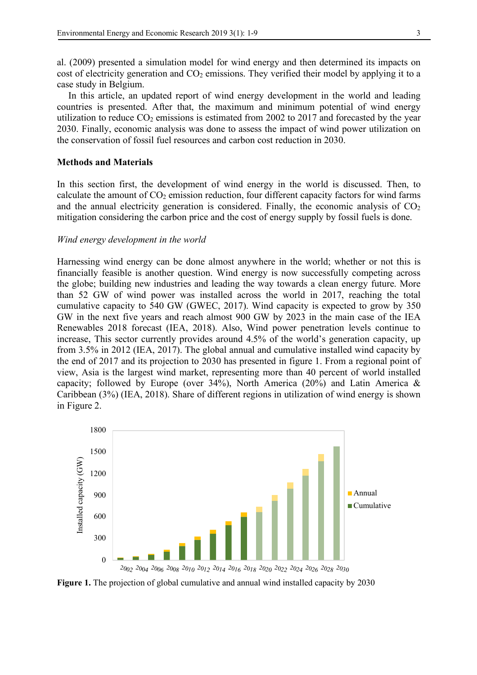al. (2009) presented a simulation model for wind energy and then determined its impacts on cost of electricity generation and  $CO<sub>2</sub>$  emissions. They verified their model by applying it to a case study in Belgium.

In this article, an updated report of wind energy development in the world and leading countries is presented. After that, the maximum and minimum potential of wind energy utilization to reduce  $CO_2$  emissions is estimated from 2002 to 2017 and forecasted by the year 2030. Finally, economic analysis was done to assess the impact of wind power utilization on the conservation of fossil fuel resources and carbon cost reduction in 2030.

#### **Methods and Materials**

In this section first, the development of wind energy in the world is discussed. Then, to calculate the amount of  $CO<sub>2</sub>$  emission reduction, four different capacity factors for wind farms and the annual electricity generation is considered. Finally, the economic analysis of  $CO<sub>2</sub>$ mitigation considering the carbon price and the cost of energy supply by fossil fuels is done.

#### *Wind energy development in the world*

Harnessing wind energy can be done almost anywhere in the world; whether or not this is financially feasible is another question. Wind energy is now successfully competing across the globe; building new industries and leading the way towards a clean energy future. More than 52 GW of wind power was installed across the world in 2017, reaching the total cumulative capacity to 540 GW (GWEC, 2017). Wind capacity is expected to grow by 350 GW in the next five years and reach almost 900 GW by 2023 in the main case of the IEA Renewables 2018 forecast (IEA, 2018). Also, Wind power penetration levels continue to increase, This sector currently provides around 4.5% of the world's generation capacity, up from 3.5% in 2012 (IEA, 2017). The global annual and cumulative installed wind capacity by the end of 2017 and its projection to 2030 has presented in figure 1. From a regional point of view, Asia is the largest wind market, representing more than 40 percent of world installed capacity; followed by Europe (over 34%), North America  $(20\%)$  and Latin America  $\&$ Caribbean (3%) (IEA, 2018). Share of different regions in utilization of wind energy is shown in Figure 2.



**Figure 1.** The projection of global cumulative and annual wind installed capacity by 2030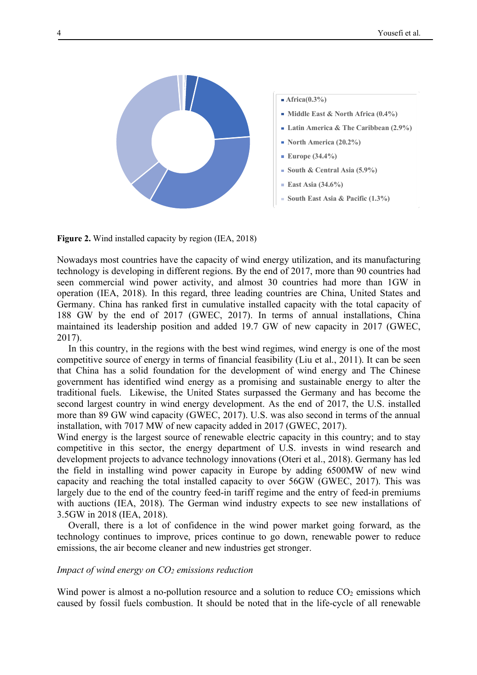

**Figure 2.** Wind installed capacity by region (IEA, 2018)

Nowadays most countries have the capacity of wind energy utilization, and its manufacturing technology is developing in different regions. By the end of 2017, more than 90 countries had seen commercial wind power activity, and almost 30 countries had more than 1GW in operation (IEA, 2018). In this regard, three leading countries are China, United States and Germany. China has ranked first in cumulative installed capacity with the total capacity of 188 GW by the end of 2017 (GWEC, 2017). In terms of annual installations, China maintained its leadership position and added 19.7 GW of new capacity in 2017 (GWEC, 2017).

In this country, in the regions with the best wind regimes, wind energy is one of the most competitive source of energy in terms of financial feasibility (Liu et al., 2011). It can be seen that China has a solid foundation for the development of wind energy and The Chinese government has identified wind energy as a promising and sustainable energy to alter the traditional fuels. Likewise, the United States surpassed the Germany and has become the second largest country in wind energy development. As the end of 2017, the U.S. installed more than 89 GW wind capacity (GWEC, 2017). U.S. was also second in terms of the annual installation, with 7017 MW of new capacity added in 2017 (GWEC, 2017).

Wind energy is the largest source of renewable electric capacity in this country; and to stay competitive in this sector, the energy department of U.S. invests in wind research and development projects to advance technology innovations (Oteri et al., 2018). Germany has led the field in installing wind power capacity in Europe by adding 6500MW of new wind capacity and reaching the total installed capacity to over 56GW (GWEC, 2017). This was largely due to the end of the country feed-in tariff regime and the entry of feed-in premiums with auctions (IEA, 2018). The German wind industry expects to see new installations of 3.5GW in 2018 (IEA, 2018).

Overall, there is a lot of confidence in the wind power market going forward, as the technology continues to improve, prices continue to go down, renewable power to reduce emissions, the air become cleaner and new industries get stronger.

### *Impact of wind energy on CO2 emissions reduction*

Wind power is almost a no-pollution resource and a solution to reduce  $CO<sub>2</sub>$  emissions which caused by fossil fuels combustion. It should be noted that in the life-cycle of all renewable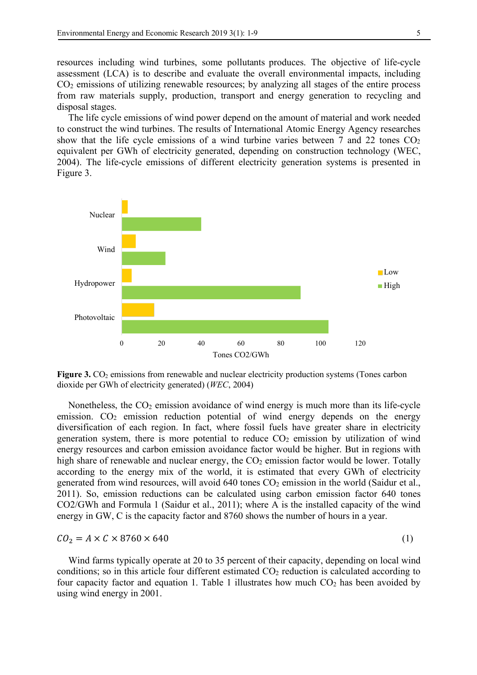resources including wind turbines, some pollutants produces. The objective of life-cycle assessment (LCA) is to describe and evaluate the overall environmental impacts, including CO2 emissions of utilizing renewable resources; by analyzing all stages of the entire process from raw materials supply, production, transport and energy generation to recycling and disposal stages.

The life cycle emissions of wind power depend on the amount of material and work needed to construct the wind turbines. The results of International Atomic Energy Agency researches show that the life cycle emissions of a wind turbine varies between 7 and 22 tones  $CO<sub>2</sub>$ equivalent per GWh of electricity generated, depending on construction technology (WEC, 2004). The life-cycle emissions of different electricity generation systems is presented in Figure 3.



**Figure** 3. CO<sub>2</sub> emissions from renewable and nuclear electricity production systems (Tones carbon dioxide per GWh of electricity generated) (*WEC*, 2004)

Nonetheless, the  $CO<sub>2</sub>$  emission avoidance of wind energy is much more than its life-cycle emission.  $CO<sub>2</sub>$  emission reduction potential of wind energy depends on the energy diversification of each region. In fact, where fossil fuels have greater share in electricity generation system, there is more potential to reduce  $CO<sub>2</sub>$  emission by utilization of wind energy resources and carbon emission avoidance factor would be higher. But in regions with high share of renewable and nuclear energy, the  $CO<sub>2</sub>$  emission factor would be lower. Totally according to the energy mix of the world, it is estimated that every GWh of electricity generated from wind resources, will avoid  $640$  tones  $CO<sub>2</sub>$  emission in the world (Saidur et al., 2011). So, emission reductions can be calculated using carbon emission factor 640 tones CO2/GWh and Formula 1 (Saidur et al., 2011); where A is the installed capacity of the wind energy in GW, C is the capacity factor and 8760 shows the number of hours in a year.

$$
CO_2 = A \times C \times 8760 \times 640 \tag{1}
$$

Wind farms typically operate at 20 to 35 percent of their capacity, depending on local wind conditions; so in this article four different estimated  $CO<sub>2</sub>$  reduction is calculated according to four capacity factor and equation 1. Table 1 illustrates how much  $CO<sub>2</sub>$  has been avoided by using wind energy in 2001.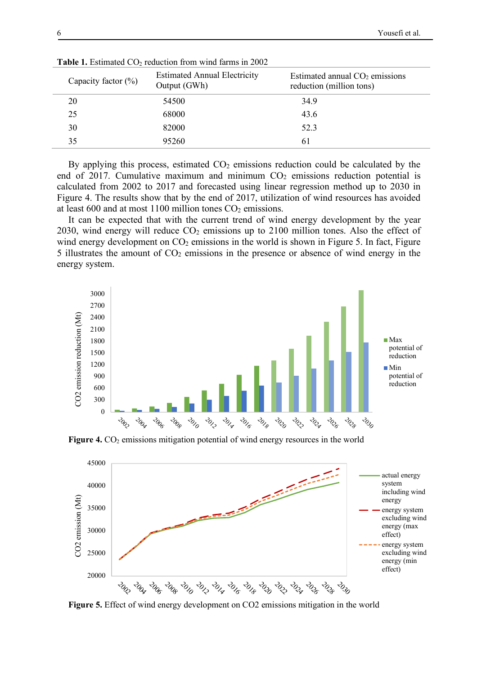| Capacity factor $(\% )$ | <b>Estimated Annual Electricity</b><br>Output (GWh) | Estimated annual $CO2$ emissions<br>reduction (million tons) |
|-------------------------|-----------------------------------------------------|--------------------------------------------------------------|
| 20                      | 54500                                               | 34.9                                                         |
| 25                      | 68000                                               | 43.6                                                         |
| 30                      | 82000                                               | 52.3                                                         |
| 35                      | 95260                                               | 61                                                           |

Table 1. Estimated CO<sub>2</sub> reduction from wind farms in 2002

By applying this process, estimated  $CO<sub>2</sub>$  emissions reduction could be calculated by the end of 2017. Cumulative maximum and minimum  $CO<sub>2</sub>$  emissions reduction potential is calculated from 2002 to 2017 and forecasted using linear regression method up to 2030 in Figure 4. The results show that by the end of 2017, utilization of wind resources has avoided at least  $600$  and at most  $1100$  million tones  $CO<sub>2</sub>$  emissions.

It can be expected that with the current trend of wind energy development by the year 2030, wind energy will reduce  $CO<sub>2</sub>$  emissions up to 2100 million tones. Also the effect of wind energy development on  $CO<sub>2</sub>$  emissions in the world is shown in Figure 5. In fact, Figure 5 illustrates the amount of  $CO<sub>2</sub>$  emissions in the presence or absence of wind energy in the energy system.



**Figure 4.** CO<sub>2</sub> emissions mitigation potential of wind energy resources in the world



**Figure 5.** Effect of wind energy development on CO2 emissions mitigation in the world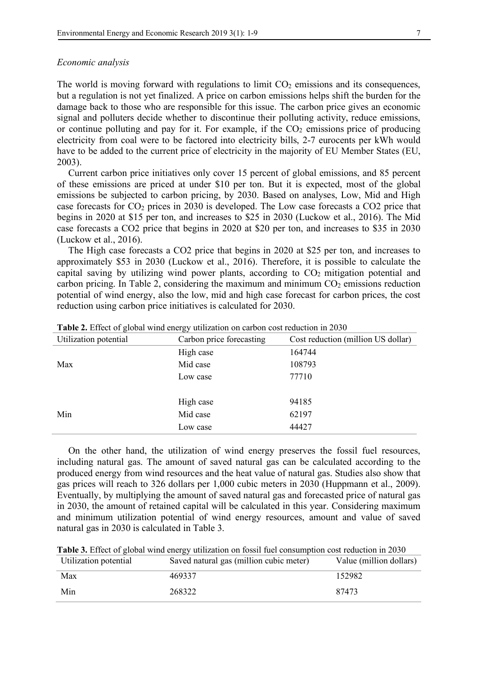#### *Economic analysis*

The world is moving forward with regulations to limit  $CO<sub>2</sub>$  emissions and its consequences, but a regulation is not yet finalized. A price on carbon emissions helps shift the burden for the damage back to those who are responsible for this issue. The carbon price gives an economic signal and polluters decide whether to discontinue their polluting activity, reduce emissions, or continue polluting and pay for it. For example, if the  $CO<sub>2</sub>$  emissions price of producing electricity from coal were to be factored into electricity bills, 2-7 eurocents per kWh would have to be added to the current price of electricity in the majority of EU Member States (EU, 2003).

Current carbon price initiatives only cover 15 percent of global emissions, and 85 percent of these emissions are priced at under \$10 per ton. But it is expected, most of the global emissions be subjected to carbon pricing, by 2030. Based on analyses, Low, Mid and High case forecasts for  $CO<sub>2</sub>$  prices in 2030 is developed. The Low case forecasts a  $CO<sub>2</sub>$  price that begins in 2020 at \$15 per ton, and increases to \$25 in 2030 (Luckow et al., 2016). The Mid case forecasts a CO2 price that begins in 2020 at \$20 per ton, and increases to \$35 in 2030 (Luckow et al., 2016).

The High case forecasts a CO2 price that begins in 2020 at \$25 per ton, and increases to approximately \$53 in 2030 (Luckow et al., 2016). Therefore, it is possible to calculate the capital saving by utilizing wind power plants, according to  $CO<sub>2</sub>$  mitigation potential and carbon pricing. In Table 2, considering the maximum and minimum  $CO<sub>2</sub>$  emissions reduction potential of wind energy, also the low, mid and high case forecast for carbon prices, the cost reduction using carbon price initiatives is calculated for 2030.

| Utilization potential | Carbon price forecasting<br>Cost reduction (million US dollar) |        |
|-----------------------|----------------------------------------------------------------|--------|
|                       | High case                                                      | 164744 |
| Max                   | Mid case                                                       | 108793 |
|                       | Low case                                                       | 77710  |
|                       |                                                                |        |
|                       | High case                                                      | 94185  |
| Min                   | Mid case                                                       | 62197  |
|                       | Low case                                                       | 44427  |

**Table 2.** Effect of global wind energy utilization on carbon cost reduction in 2030

On the other hand, the utilization of wind energy preserves the fossil fuel resources, including natural gas. The amount of saved natural gas can be calculated according to the produced energy from wind resources and the heat value of natural gas. Studies also show that gas prices will reach to 326 dollars per 1,000 cubic meters in 2030 (Huppmann et al., 2009). Eventually, by multiplying the amount of saved natural gas and forecasted price of natural gas in 2030, the amount of retained capital will be calculated in this year. Considering maximum and minimum utilization potential of wind energy resources, amount and value of saved natural gas in 2030 is calculated in Table 3.

|                       | Table 3. Effect of global wind energy utilization on fossil fuel consumption cost reduction in 2030 |                         |
|-----------------------|-----------------------------------------------------------------------------------------------------|-------------------------|
| Utilization potential | Saved natural gas (million cubic meter)                                                             | Value (million dollars) |

| UTHLATION POWHING | $\beta$ aved natural gas (infinition educe include) | $\mathbf v$ and $\mathbf v$ international dividend $\mathbf v$ |
|-------------------|-----------------------------------------------------|----------------------------------------------------------------|
| Max               | 469337                                              | 152982                                                         |
| Min               | 268322                                              | 87473                                                          |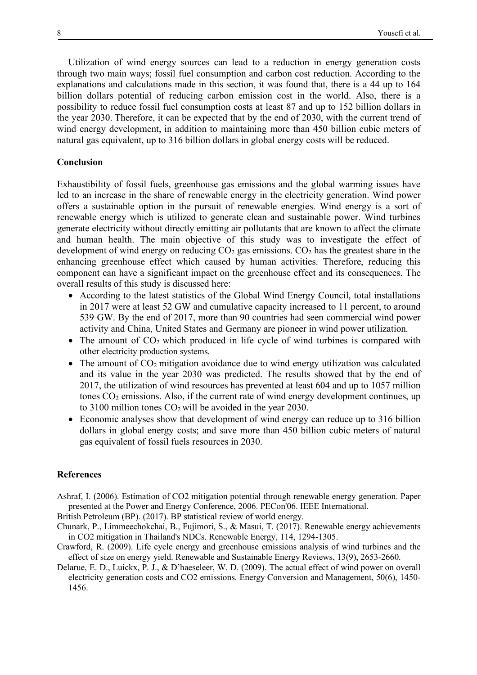Utilization of wind energy sources can lead to a reduction in energy generation costs through two main ways; fossil fuel consumption and carbon cost reduction. According to the explanations and calculations made in this section, it was found that, there is a 44 up to 164 billion dollars potential of reducing carbon emission cost in the world. Also, there is a possibility to reduce fossil fuel consumption costs at least 87 and up to 152 billion dollars in the year 2030. Therefore, it can be expected that by the end of 2030, with the current trend of wind energy development, in addition to maintaining more than 450 billion cubic meters of natural gas equivalent, up to 316 billion dollars in global energy costs will be reduced.

#### **Conclusion**

Exhaustibility of fossil fuels, greenhouse gas emissions and the global warming issues have led to an increase in the share of renewable energy in the electricity generation. Wind power offers a sustainable option in the pursuit of renewable energies. Wind energy is a sort of renewable energy which is utilized to generate clean and sustainable power. Wind turbines generate electricity without directly emitting air pollutants that are known to affect the climate and human health. The main objective of this study was to investigate the effect of development of wind energy on reducing  $CO<sub>2</sub>$  gas emissions.  $CO<sub>2</sub>$  has the greatest share in the enhancing greenhouse effect which caused by human activities. Therefore, reducing this component can have a significant impact on the greenhouse effect and its consequences. The overall results of this study is discussed here:

- According to the latest statistics of the Global Wind Energy Council, total installations in 2017 were at least 52 GW and cumulative capacity increased to 11 percent, to around 539 GW. By the end of 2017, more than 90 countries had seen commercial wind power activity and China, United States and Germany are pioneer in wind power utilization.
- The amount of  $CO<sub>2</sub>$  which produced in life cycle of wind turbines is compared with other electricity production systems.
- The amount of  $CO<sub>2</sub>$  mitigation avoidance due to wind energy utilization was calculated and its value in the year 2030 was predicted. The results showed that by the end of 2017, the utilization of wind resources has prevented at least 604 and up to 1057 million tones CO2 emissions. Also, if the current rate of wind energy development continues, up to 3100 million tones  $CO<sub>2</sub>$  will be avoided in the year 2030.
- Economic analyses show that development of wind energy can reduce up to 316 billion dollars in global energy costs; and save more than 450 billion cubic meters of natural gas equivalent of fossil fuels resources in 2030.

#### **References**

Ashraf, I. (2006). Estimation of CO2 mitigation potential through renewable energy generation. Paper presented at the Power and Energy Conference, 2006. PECon'06. IEEE International.

British Petroleum (BP). (2017). BP statistical review of world energy.

- Chunark, P., Limmeechokchai, B., Fujimori, S., & Masui, T. (2017). Renewable energy achievements in CO2 mitigation in Thailand's NDCs. Renewable Energy, 114, 1294-1305.
- Crawford, R. (2009). Life cycle energy and greenhouse emissions analysis of wind turbines and the effect of size on energy yield. Renewable and Sustainable Energy Reviews, 13(9), 2653-2660.
- Delarue, E. D., Luickx, P. J., & D'haeseleer, W. D. (2009). The actual effect of wind power on overall electricity generation costs and CO2 emissions. Energy Conversion and Management, 50(6), 1450- 1456.